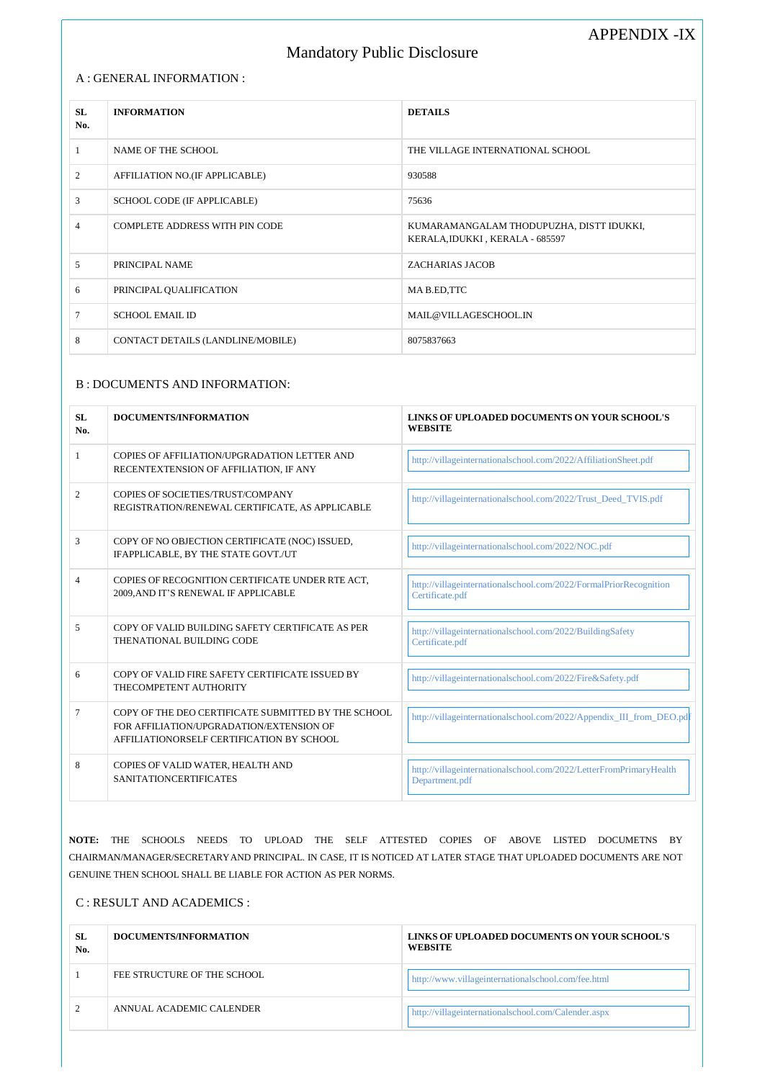#### A : GENERAL INFORMATION :

# Mandatory Public Disclosure

APPENDIX -IX

| SL<br>No. | <b>INFORMATION</b>                    | <b>DETAILS</b>                                                              |
|-----------|---------------------------------------|-----------------------------------------------------------------------------|
|           | NAME OF THE SCHOOL                    | THE VILLAGE INTERNATIONAL SCHOOL                                            |
| 2         | AFFILIATION NO.(IF APPLICABLE)        | 930588                                                                      |
| 3         | <b>SCHOOL CODE (IF APPLICABLE)</b>    | 75636                                                                       |
| 4         | <b>COMPLETE ADDRESS WITH PIN CODE</b> | KUMARAMANGALAM THODUPUZHA, DISTT IDUKKI,<br>KERALA, IDUKKI, KERALA - 685597 |
| 5         | PRINCIPAL NAME                        | <b>ZACHARIAS JACOB</b>                                                      |
| 6         | PRINCIPAL QUALIFICATION               | MA B.ED, TTC                                                                |
| 7         | <b>SCHOOL EMAIL ID</b>                | MAIL@VILLAGESCHOOL.IN                                                       |
| 8         | CONTACT DETAILS (LANDLINE/MOBILE)     | 8075837663                                                                  |

### B : DOCUMENTS AND INFORMATION:

| SL<br>No. | DOCUMENTS/INFORMATION                                                                                                                        | LINKS OF UPLOADED DOCUMENTS ON YOUR SCHOOL'S<br><b>WEBSITE</b>                       |
|-----------|----------------------------------------------------------------------------------------------------------------------------------------------|--------------------------------------------------------------------------------------|
| 1         | COPIES OF AFFILIATION/UPGRADATION LETTER AND<br>RECENTEXTENSION OF AFFILIATION, IF ANY                                                       | http://villageinternationalschool.com/2022/AffiliationSheet.pdf                      |
| 2         | COPIES OF SOCIETIES/TRUST/COMPANY<br>REGISTRATION/RENEWAL CERTIFICATE, AS APPLICABLE                                                         | http://villageinternationalschool.com/2022/Trust_Deed_TVIS.pdf                       |
| 3         | COPY OF NO OBJECTION CERTIFICATE (NOC) ISSUED,<br>IFAPPLICABLE, BY THE STATE GOVT./UT                                                        | http://villageinternationalschool.com/2022/NOC.pdf                                   |
| 4         | COPIES OF RECOGNITION CERTIFICATE UNDER RTE ACT,<br>2009, AND IT'S RENEWAL IF APPLICABLE                                                     | http://villageinternationalschool.com/2022/FormalPriorRecognition<br>Certificate.pdf |
| 5         | COPY OF VALID BUILDING SAFETY CERTIFICATE AS PER<br>THENATIONAL BUILDING CODE                                                                | http://villageinternationalschool.com/2022/BuildingSafety<br>Certificate.pdf         |
| 6         | COPY OF VALID FIRE SAFETY CERTIFICATE ISSUED BY<br>THECOMPETENT AUTHORITY                                                                    | http://villageinternationalschool.com/2022/Fire&Safety.pdf                           |
| 7         | COPY OF THE DEO CERTIFICATE SUBMITTED BY THE SCHOOL<br>FOR AFFILIATION/UPGRADATION/EXTENSION OF<br>AFFILIATIONORSELF CERTIFICATION BY SCHOOL | http://villageinternationalschool.com/2022/Appendix_III_from_DEO.pdf                 |
| 8         | COPIES OF VALID WATER, HEALTH AND<br><b>SANITATIONCERTIFICATES</b>                                                                           | http://villageinternationalschool.com/2022/LetterFromPrimaryHealth<br>Department.pdf |

**NOTE:** THE SCHOOLS NEEDS TO UPLOAD THE SELF ATTESTED COPIES OF ABOVE LISTED DOCUMETNS BY CHAIRMAN/MANAGER/SECRETARYAND PRINCIPAL. IN CASE, IT IS NOTICED AT LATER STAGE THAT UPLOADED DOCUMENTS ARE NOT GENUINE THEN SCHOOL SHALL BE LIABLE FOR ACTION AS PER NORMS.

C : RESULT AND ACADEMICS :

| <b>SL</b><br>No. | DOCUMENTS/INFORMATION       | LINKS OF UPLOADED DOCUMENTS ON YOUR SCHOOL'S<br><b>WEBSITE</b> |
|------------------|-----------------------------|----------------------------------------------------------------|
|                  | FEE STRUCTURE OF THE SCHOOL | http://www.villageinternationalschool.com/fee.html             |
|                  | ANNUAL ACADEMIC CALENDER    | http://villageinternationalschool.com/Calender.aspx            |